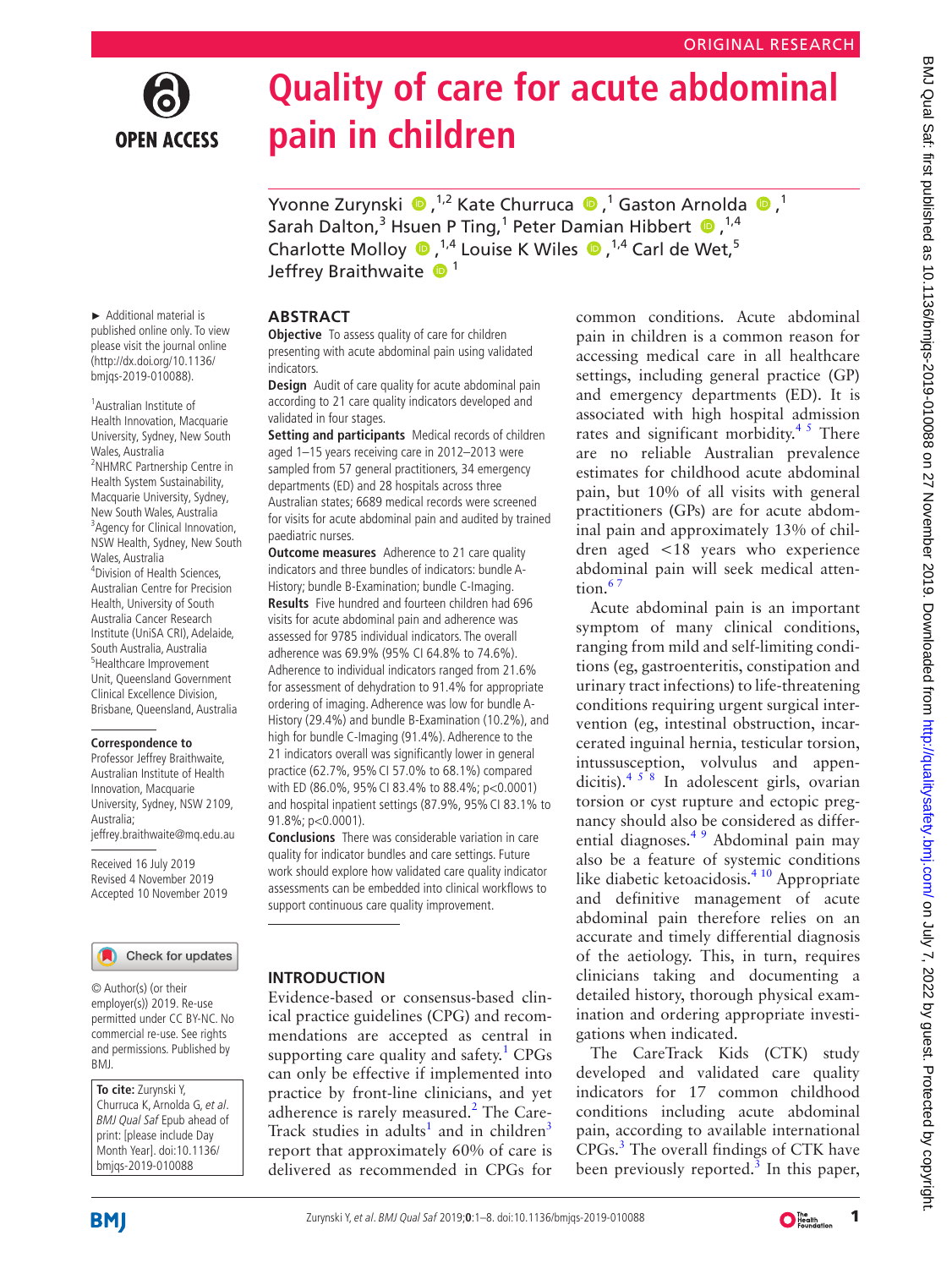# **OPEN ACCESS**

## **Quality of care for acute abdominal pain in children**

YvonneZurynski  $\bullet$ ,<sup>1,2</sup> Kate Churruca  $\bullet$ ,<sup>1</sup> Gaston Arnolda  $\bullet$ ,<sup>1</sup> Sarah Dalton,<sup>3</sup> Hsuen P Ting,<sup>1</sup> Peter Damian Hibbert  $\bullet$ ,<sup>1,4</sup> Charlotte Molloy  $\bullet$ ,<sup>1,4</sup> Louise K Wiles  $\bullet$ ,<sup>1,4</sup> Carl de Wet,<sup>5</sup> Jeffrey Braithwaite  $\mathbf{D}^1$ 

► Additional material is published online only. To view please visit the journal online (http://dx.doi.org/10.1136/ bmjqs-2019-010088).

1 Australian Institute of Health Innovation, Macquarie University, Sydney, New South Wales, Australia <sup>2</sup>NHMRC Partnership Centre in Health System Sustainability, Macquarie University, Sydney, New South Wales, Australia <sup>3</sup> Agency for Clinical Innovation, NSW Health, Sydney, New South Wales, Australia 4 Division of Health Sciences, Australian Centre for Precision Health, University of South Australia Cancer Research Institute (UniSA CRI), Adelaide, South Australia, Australia 5 Healthcare Improvement Unit, Queensland Government Clinical Excellence Division, Brisbane, Queensland, Australia

### **Correspondence to**

Professor Jeffrey Braithwaite, Australian Institute of Health Innovation, Macquarie University, Sydney, NSW 2109, Australia; jeffrey.braithwaite@mq.edu.au

Received 16 July 2019 Revised 4 November 2019 Accepted 10 November 2019

### Check for updates

© Author(s) (or their employer(s)) 2019. Re-use permitted under CC BY-NC. No commercial re-use. See rights and permissions. Published by BMJ.

**To cite:** Zurynski Y, Churruca K, Arnolda G, et al. BMJ Qual Saf Epub ahead of print: [please include Day Month Year]. doi:10.1136/ bmjqs-2019-010088

### **Abstract**

**Objective** To assess quality of care for children presenting with acute abdominal pain using validated indicators.

**Design** Audit of care quality for acute abdominal pain according to 21 care quality indicators developed and validated in four stages.

**Setting and participants** Medical records of children aged 1–15 years receiving care in 2012–2013 were sampled from 57 general practitioners, 34 emergency departments (ED) and 28 hospitals across three Australian states; 6689 medical records were screened for visits for acute abdominal pain and audited by trained paediatric nurses.

**Outcome measures** Adherence to 21 care quality indicators and three bundles of indicators: bundle A-History; bundle B-Examination; bundle C-Imaging. **Results** Five hundred and fourteen children had 696 visits for acute abdominal pain and adherence was assessed for 9785 individual indicators. The overall adherence was 69.9% (95% CI 64.8% to 74.6%). Adherence to individual indicators ranged from 21.6% for assessment of dehydration to 91.4% for appropriate ordering of imaging. Adherence was low for bundle A-History (29.4%) and bundle B-Examination (10.2%), and high for bundle C-Imaging (91.4%). Adherence to the 21 indicators overall was significantly lower in general practice (62.7%, 95%CI 57.0% to 68.1%) compared with ED (86.0%, 95%CI 83.4% to 88.4%; p<0.0001) and hospital inpatient settings (87.9%, 95%CI 83.1% to 91.8%; p<0.0001).

**Conclusions** There was considerable variation in care quality for indicator bundles and care settings. Future work should explore how validated care quality indicator assessments can be embedded into clinical workflows to support continuous care quality improvement.

### **Introduction**

Evidence-based or consensus-based clinical practice guidelines (CPG) and recommendations are accepted as central in supporting care quality and safety.<sup>[1](#page-6-0)</sup> CPGs can only be effective if implemented into practice by front-line clinicians, and yet adherence is rarely measured.<sup>[2](#page-6-1)</sup> The Care-Track studies in adults<sup>[1](#page-6-0)</sup> and in children<sup>[3](#page-6-2)</sup> report that approximately 60% of care is delivered as recommended in CPGs for

common conditions. Acute abdominal pain in children is a common reason for accessing medical care in all healthcare settings, including general practice (GP) and emergency departments (ED). It is associated with high hospital admission rates and significant morbidity.<sup>45</sup> There are no reliable Australian prevalence estimates for childhood acute abdominal pain, but 10% of all visits with general practitioners (GPs) are for acute abdominal pain and approximately 13% of children aged <18 years who experience abdominal pain will seek medical atten $tion.<sup>67</sup>$ 

Acute abdominal pain is an important symptom of many clinical conditions, ranging from mild and self-limiting conditions (eg, gastroenteritis, constipation and urinary tract infections) to life-threatening conditions requiring urgent surgical intervention (eg, intestinal obstruction, incarcerated inguinal hernia, testicular torsion, intussusception, volvulus and appendicitis). $458$  In adolescent girls, ovarian torsion or cyst rupture and ectopic pregnancy should also be considered as differential diagnoses[.4 9](#page-6-3) Abdominal pain may also be a feature of systemic conditions like diabetic ketoacidosis.<sup>4 10</sup> Appropriate and definitive management of acute abdominal pain therefore relies on an accurate and timely differential diagnosis of the aetiology. This, in turn, requires clinicians taking and documenting a detailed history, thorough physical examination and ordering appropriate investigations when indicated.

The CareTrack Kids (CTK) study developed and validated care quality indicators for 17 common childhood conditions including acute abdominal pain, according to available international CPGs.[3](#page-6-2) The overall findings of CTK have been previously reported. $3$  In this paper,

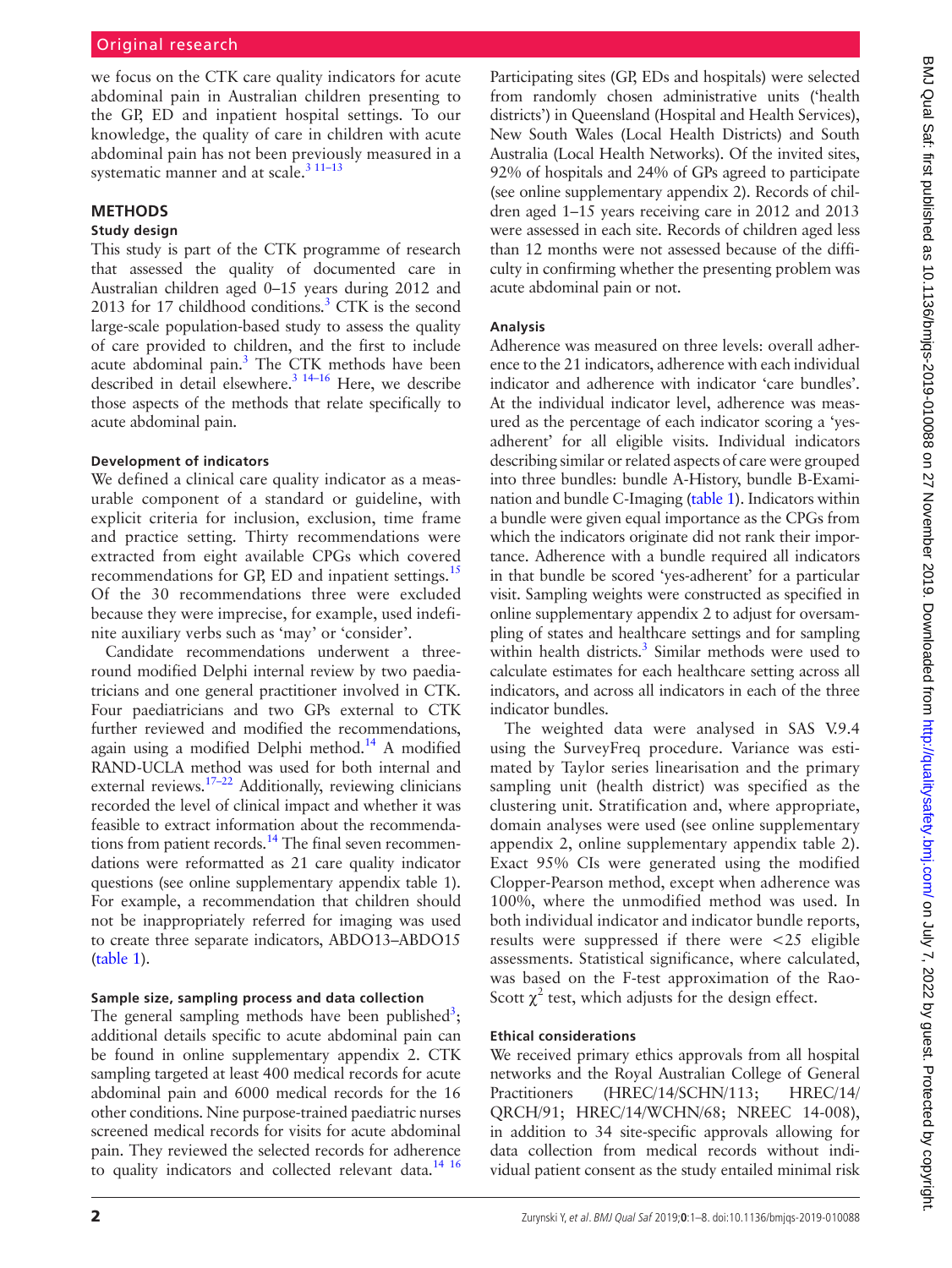we focus on the CTK care quality indicators for acute abdominal pain in Australian children presenting to the GP, ED and inpatient hospital settings. To our knowledge, the quality of care in children with acute abdominal pain has not been previously measured in a systematic manner and at scale.<sup>3</sup> <sup>11-13</sup>

### **Methods**

### **Study design**

This study is part of the CTK programme of research that assessed the quality of documented care in Australian children aged 0–15 years during 2012 and 2013 for 17 childhood conditions. $3$  CTK is the second large-scale population-based study to assess the quality of care provided to children, and the first to include acute abdominal pain.<sup>3</sup> The CTK methods have been described in detail elsewhere. $3^{3}$   $14-16$  Here, we describe those aspects of the methods that relate specifically to acute abdominal pain.

### **Development of indicators**

We defined a clinical care quality indicator as a measurable component of a standard or guideline, with explicit criteria for inclusion, exclusion, time frame and practice setting. Thirty recommendations were extracted from eight available CPGs which covered recommendations for GP, ED and inpatient settings.<sup>15</sup> Of the 30 recommendations three were excluded because they were imprecise, for example, used indefinite auxiliary verbs such as 'may' or 'consider'.

Candidate recommendations underwent a threeround modified Delphi internal review by two paediatricians and one general practitioner involved in CTK. Four paediatricians and two GPs external to CTK further reviewed and modified the recommendations, again using a modified Delphi method.<sup>14</sup> A modified RAND-UCLA method was used for both internal and  $R = 2\pi r^2$  and  $\frac{m}{r} = 2\pi r^2$  Additionally, reviewing clinicians recorded the level of clinical impact and whether it was feasible to extract information about the recommendations from patient records.<sup>14</sup> The final seven recommendations were reformatted as 21 care quality indicator questions (see [online supplementary appendix table 1\)](https://dx.doi.org/10.1136/bmjqs-2019-010088). For example, a recommendation that children should not be inappropriately referred for imaging was used to create three separate indicators, ABDO13–ABDO15 [\(table](#page-2-0) 1).

### **Sample size, sampling process and data collection**

The general sampling methods have been published<sup>[3](#page-6-2)</sup>; additional details specific to acute abdominal pain can be found in [online supplementary appendix 2](https://dx.doi.org/10.1136/bmjqs-2019-010088). CTK sampling targeted at least 400 medical records for acute abdominal pain and 6000 medical records for the 16 other conditions. Nine purpose-trained paediatric nurses screened medical records for visits for acute abdominal pain. They reviewed the selected records for adherence to quality indicators and collected relevant data.<sup>[14 16](#page-6-6)</sup>

Participating sites (GP, EDs and hospitals) were selected from randomly chosen administrative units ('health districts') in Queensland (Hospital and Health Services), New South Wales (Local Health Districts) and South Australia (Local Health Networks). Of the invited sites, 92% of hospitals and 24% of GPs agreed to participate (see [online supplementary appendix 2](https://dx.doi.org/10.1136/bmjqs-2019-010088)). Records of children aged 1–15 years receiving care in 2012 and 2013 were assessed in each site. Records of children aged less than 12 months were not assessed because of the difficulty in confirming whether the presenting problem was acute abdominal pain or not.

### **Analysis**

Adherence was measured on three levels: overall adherence to the 21 indicators, adherence with each individual indicator and adherence with indicator 'care bundles'. At the individual indicator level, adherence was measured as the percentage of each indicator scoring a 'yesadherent' for all eligible visits. Individual indicators describing similar or related aspects of care were grouped into three bundles: bundle A-History, bundle B-Examination and bundle C-Imaging ([table](#page-2-0) 1). Indicators within a bundle were given equal importance as the CPGs from which the indicators originate did not rank their importance. Adherence with a bundle required all indicators in that bundle be scored 'yes-adherent' for a particular visit. Sampling weights were constructed as specified in [online supplementary appendix 2](https://dx.doi.org/10.1136/bmjqs-2019-010088) to adjust for oversampling of states and healthcare settings and for sampling within health districts.<sup>[3](#page-6-2)</sup> Similar methods were used to calculate estimates for each healthcare setting across all indicators, and across all indicators in each of the three indicator bundles.

The weighted data were analysed in SAS V.9.4 using the SurveyFreq procedure. Variance was estimated by Taylor series linearisation and the primary sampling unit (health district) was specified as the clustering unit. Stratification and, where appropriate, domain analyses were used (see [online supplementary](https://dx.doi.org/10.1136/bmjqs-2019-010088) [appendix 2,](https://dx.doi.org/10.1136/bmjqs-2019-010088) [online supplementary appendix table 2](https://dx.doi.org/10.1136/bmjqs-2019-010088)). Exact 95% CIs were generated using the modified Clopper-Pearson method, except when adherence was 100%, where the unmodified method was used. In both individual indicator and indicator bundle reports, results were suppressed if there were <25 eligible assessments. Statistical significance, where calculated, was based on the F-test approximation of the Rao-Scott  $\chi^2$  test, which adjusts for the design effect.

### **Ethical considerations**

We received primary ethics approvals from all hospital networks and the Royal Australian College of General Practitioners (HREC/14/SCHN/113; HREC/14/ QRCH/91; HREC/14/WCHN/68; NREEC 14-008), in addition to 34 site-specific approvals allowing for data collection from medical records without individual patient consent as the study entailed minimal risk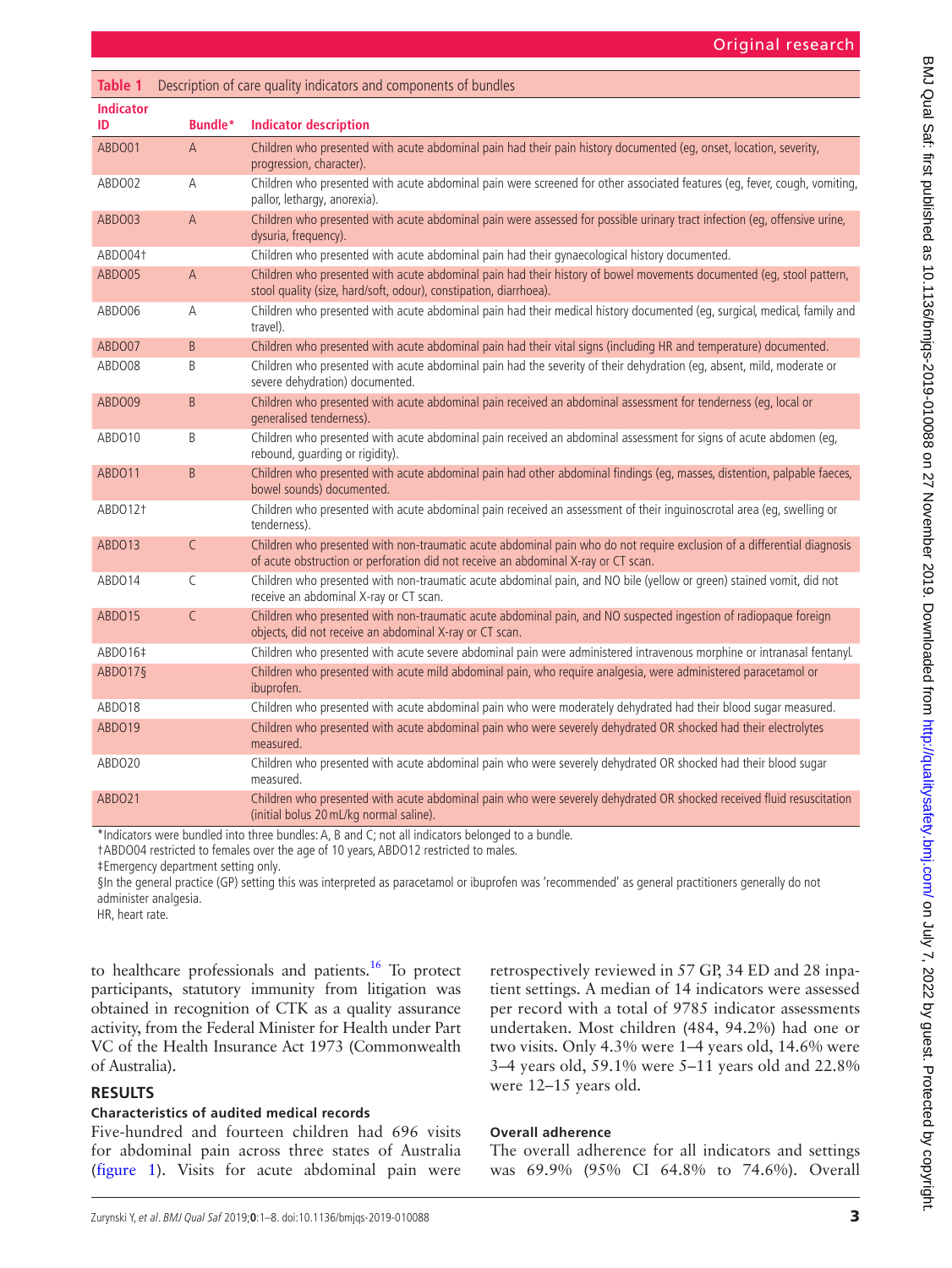<span id="page-2-0"></span>

| <b>Table 1</b>         | Description of care quality indicators and components of bundles |                                                                                                                                                                                                               |  |  |  |
|------------------------|------------------------------------------------------------------|---------------------------------------------------------------------------------------------------------------------------------------------------------------------------------------------------------------|--|--|--|
| <b>Indicator</b><br>ID | Bundle*                                                          | <b>Indicator description</b>                                                                                                                                                                                  |  |  |  |
| ABDO01                 | $\overline{A}$                                                   | Children who presented with acute abdominal pain had their pain history documented (eq, onset, location, severity,<br>progression, character).                                                                |  |  |  |
| ABDO02                 | A                                                                | Children who presented with acute abdominal pain were screened for other associated features (eq, fever, cough, vomiting,<br>pallor, lethargy, anorexia).                                                     |  |  |  |
| ABDO03                 | A                                                                | Children who presented with acute abdominal pain were assessed for possible urinary tract infection (eq, offensive urine,<br>dysuria, frequency).                                                             |  |  |  |
| ABDO041                |                                                                  | Children who presented with acute abdominal pain had their gynaecological history documented.                                                                                                                 |  |  |  |
| ABDO05                 | A                                                                | Children who presented with acute abdominal pain had their history of bowel movements documented (eq, stool pattern,<br>stool quality (size, hard/soft, odour), constipation, diarrhoea).                     |  |  |  |
| ABDO06                 | A                                                                | Children who presented with acute abdominal pain had their medical history documented (eq, surgical, medical, family and<br>travel).                                                                          |  |  |  |
| ABDO07                 | B.                                                               | Children who presented with acute abdominal pain had their vital signs (including HR and temperature) documented.                                                                                             |  |  |  |
| ABDO08                 | B                                                                | Children who presented with acute abdominal pain had the severity of their dehydration (eq, absent, mild, moderate or<br>severe dehydration) documented.                                                      |  |  |  |
| ABDO09                 | B.                                                               | Children who presented with acute abdominal pain received an abdominal assessment for tenderness (eq, local or<br>generalised tenderness).                                                                    |  |  |  |
| ABDO10                 | B                                                                | Children who presented with acute abdominal pain received an abdominal assessment for signs of acute abdomen (eq,<br>rebound, quarding or rigidity).                                                          |  |  |  |
| ABDO11                 | B.                                                               | Children who presented with acute abdominal pain had other abdominal findings (eg, masses, distention, palpable faeces,<br>bowel sounds) documented.                                                          |  |  |  |
| ABDO12 <sup>+</sup>    |                                                                  | Children who presented with acute abdominal pain received an assessment of their inguinoscrotal area (eg, swelling or<br>tenderness).                                                                         |  |  |  |
| ABDO13                 | $\mathsf C$                                                      | Children who presented with non-traumatic acute abdominal pain who do not require exclusion of a differential diagnosis<br>of acute obstruction or perforation did not receive an abdominal X-ray or CT scan. |  |  |  |
| ABDO14                 | $\mathsf{C}$                                                     | Children who presented with non-traumatic acute abdominal pain, and NO bile (yellow or green) stained vomit, did not<br>receive an abdominal X-ray or CT scan.                                                |  |  |  |
| ABDO15                 | $\mathsf{C}$                                                     | Children who presented with non-traumatic acute abdominal pain, and NO suspected ingestion of radiopaque foreign<br>objects, did not receive an abdominal X-ray or CT scan.                                   |  |  |  |
| ABD016‡                |                                                                  | Children who presented with acute severe abdominal pain were administered intravenous morphine or intranasal fentanyl.                                                                                        |  |  |  |
| ABDO17§                |                                                                  | Children who presented with acute mild abdominal pain, who require analgesia, were administered paracetamol or<br>ibuprofen.                                                                                  |  |  |  |
| ABDO18                 |                                                                  | Children who presented with acute abdominal pain who were moderately dehydrated had their blood sugar measured.                                                                                               |  |  |  |
| ABDO19                 |                                                                  | Children who presented with acute abdominal pain who were severely dehydrated OR shocked had their electrolytes<br>measured.                                                                                  |  |  |  |
| ABDO20                 |                                                                  | Children who presented with acute abdominal pain who were severely dehydrated OR shocked had their blood sugar<br>measured.                                                                                   |  |  |  |
| ABDO21                 |                                                                  | Children who presented with acute abdominal pain who were severely dehydrated OR shocked received fluid resuscitation<br>(initial bolus 20 mL/kg normal saline).                                              |  |  |  |

\*Indicators were bundled into three bundles: A, B and C; not all indicators belonged to a bundle.

†ABDO04 restricted to females over the age of 10 years, ABDO12 restricted to males.

‡Emergency department setting only.

§In the general practice (GP) setting this was interpreted as paracetamol or ibuprofen was 'recommended' as general practitioners generally do not administer analgesia.

HR, heart rate.

to healthcare professionals and patients.<sup>16</sup> To protect participants, statutory immunity from litigation was obtained in recognition of CTK as a quality assurance activity, from the Federal Minister for Health under Part VC of the Health Insurance Act 1973 (Commonwealth of Australia).

### **Results**

### **Characteristics of audited medical records**

Five-hundred and fourteen children had 696 visits for abdominal pain across three states of Australia [\(figure](#page-3-0) 1). Visits for acute abdominal pain were

retrospectively reviewed in 57 GP, 34 ED and 28 inpatient settings. A median of 14 indicators were assessed per record with a total of 9785 indicator assessments undertaken. Most children (484, 94.2%) had one or two visits. Only 4.3% were 1–4 years old, 14.6% were 3–4 years old, 59.1% were 5–11 years old and 22.8% were 12–15 years old.

### **Overall adherence**

The overall adherence for all indicators and settings was 69.9% (95% CI 64.8% to 74.6%). Overall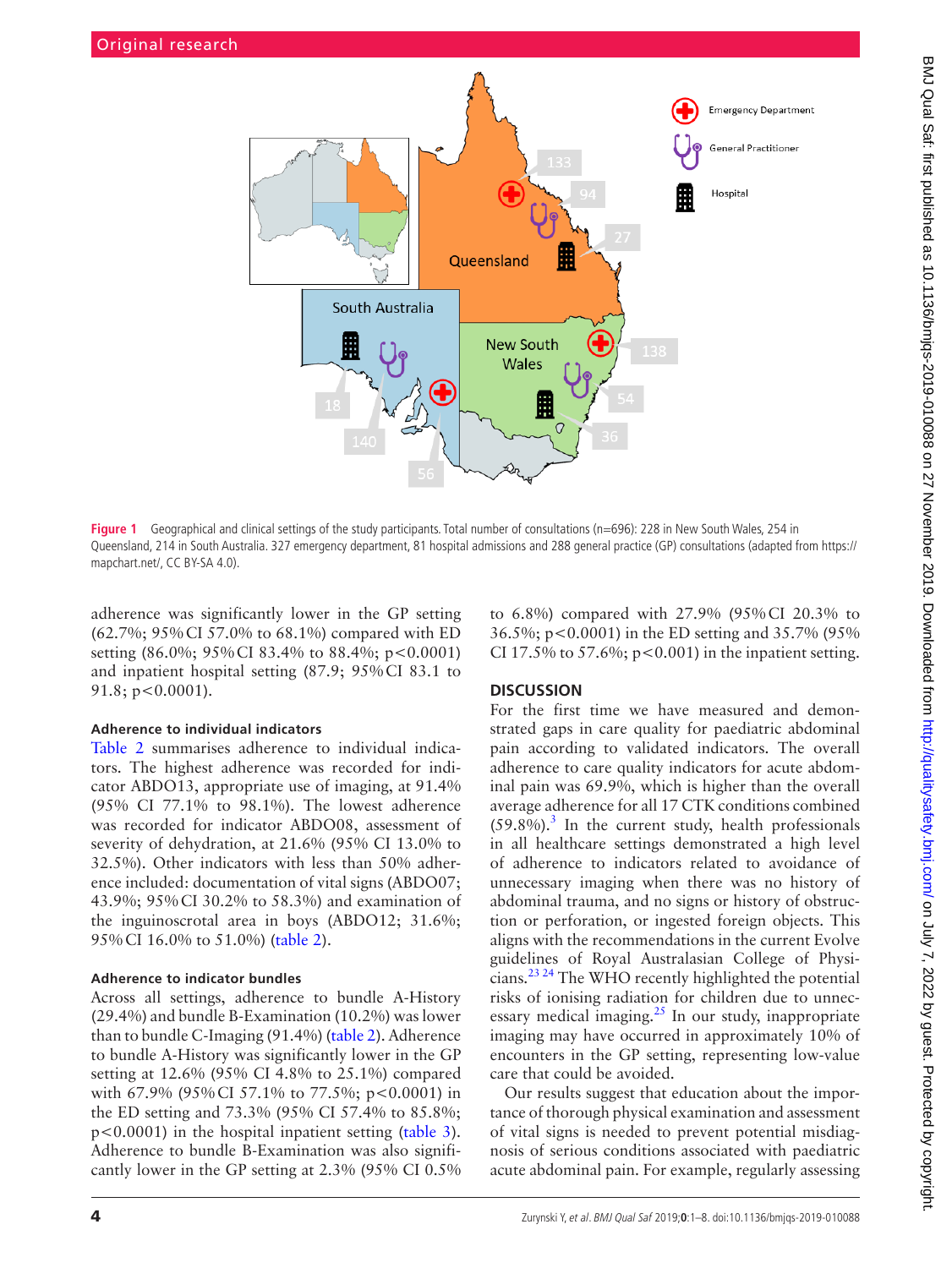

<span id="page-3-0"></span>Figure 1 Geographical and clinical settings of the study participants. Total number of consultations (n=696): 228 in New South Wales, 254 in Queensland, 214 in South Australia. 327 emergency department, 81 hospital admissions and 288 general practice (GP) consultations (adapted from [https://](https://mapchart.net/) [mapchart.net/](https://mapchart.net/), CC BY-SA 4.0).

adherence was significantly lower in the GP setting (62.7%; 95%CI 57.0% to 68.1%) compared with ED setting (86.0%; 95%CI 83.4% to 88.4%; p<0.0001) and inpatient hospital setting (87.9; 95%CI 83.1 to 91.8; p<0.0001).

### **Adherence to individual indicators**

[Table](#page-4-0) 2 summarises adherence to individual indicators. The highest adherence was recorded for indicator ABDO13, appropriate use of imaging, at 91.4% (95% CI 77.1% to 98.1%). The lowest adherence was recorded for indicator ABDO08, assessment of severity of dehydration, at 21.6% (95% CI 13.0% to 32.5%). Other indicators with less than 50% adherence included: documentation of vital signs (ABDO07; 43.9%; 95%CI 30.2% to 58.3%) and examination of the inguinoscrotal area in boys (ABDO12; 31.6%; 95%CI 16.0% to 51.0%) [\(table](#page-4-0) 2).

### **Adherence to indicator bundles**

Across all settings, adherence to bundle A-History (29.4%) and bundle B-Examination (10.2%) was lower than to bundle C-Imaging (91.4%) [\(table](#page-4-0) 2). Adherence to bundle A-History was significantly lower in the GP setting at 12.6% (95% CI 4.8% to 25.1%) compared with 67.9% (95% CI 57.1% to 77.5%; p<0.0001) in the ED setting and 73.3% (95% CI 57.4% to 85.8%; p<0.0001) in the hospital inpatient setting ([table](#page-4-1) 3). Adherence to bundle B-Examination was also significantly lower in the GP setting at 2.3% (95% CI 0.5% to 6.8%) compared with 27.9% (95%CI 20.3% to 36.5%; p<0.0001) in the ED setting and 35.7% (95% CI 17.5% to 57.6%;  $p < 0.001$ ) in the inpatient setting.

### **Discussion**

For the first time we have measured and demonstrated gaps in care quality for paediatric abdominal pain according to validated indicators. The overall adherence to care quality indicators for acute abdominal pain was 69.9%, which is higher than the overall average adherence for all 17 CTK conditions combined  $(59.8\%)$ .<sup>[3](#page-6-2)</sup> In the current study, health professionals in all healthcare settings demonstrated a high level of adherence to indicators related to avoidance of unnecessary imaging when there was no history of abdominal trauma, and no signs or history of obstruction or perforation, or ingested foreign objects. This aligns with the recommendations in the current Evolve guidelines of Royal Australasian College of Physicians.<sup>23 24</sup> The WHO recently highlighted the potential risks of ionising radiation for children due to unnecessary medical imaging. $^{25}$  In our study, inappropriate imaging may have occurred in approximately 10% of encounters in the GP setting, representing low-value care that could be avoided.

Our results suggest that education about the importance of thorough physical examination and assessment of vital signs is needed to prevent potential misdiagnosis of serious conditions associated with paediatric acute abdominal pain. For example, regularly assessing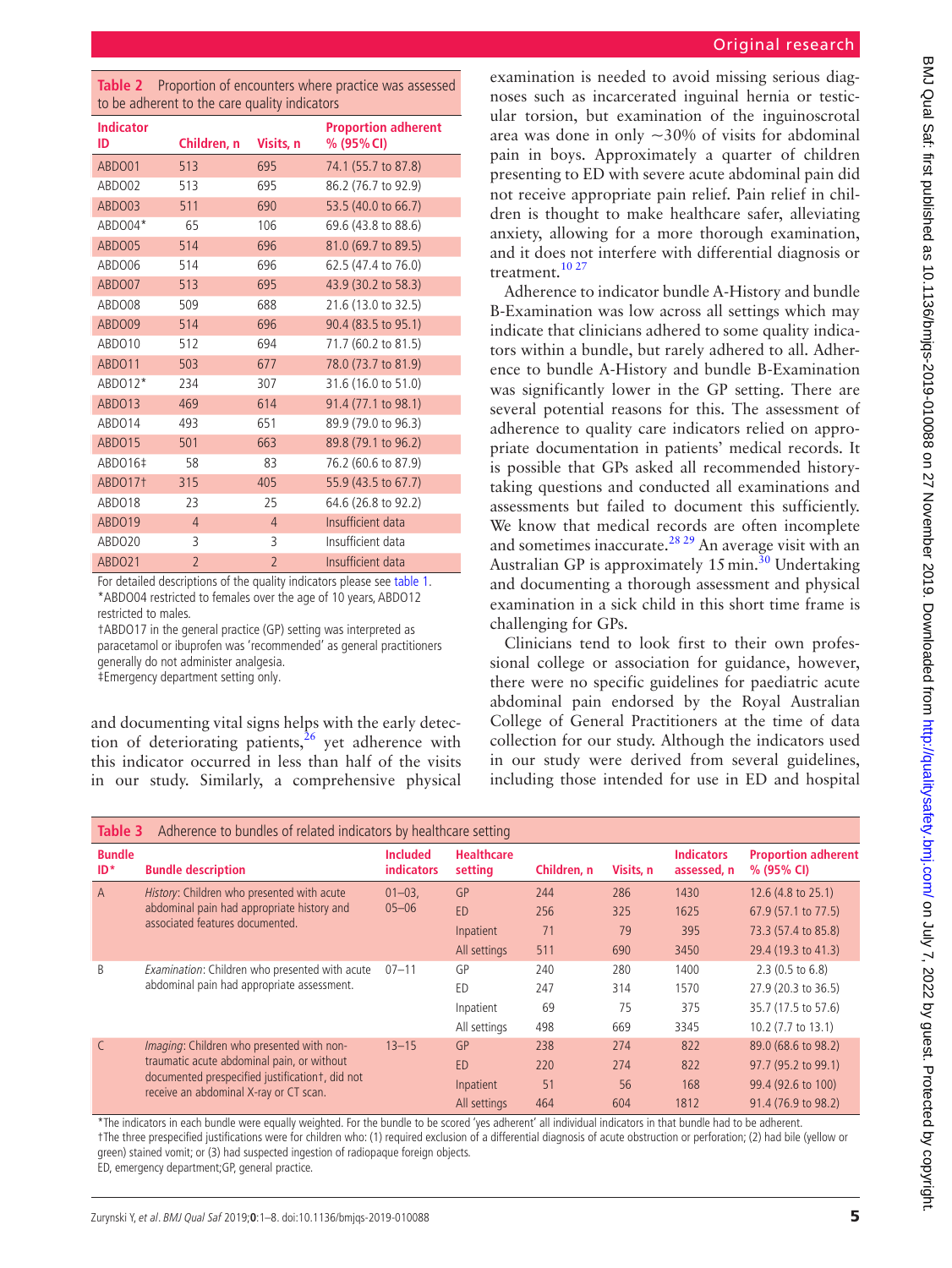<span id="page-4-0"></span>

|  | Table 2 Proportion of encounters where practice was assessed |  |  |
|--|--------------------------------------------------------------|--|--|
|  | to be adherent to the care quality indicators                |  |  |

| <b>Indicator</b>    |                |                | <b>Proportion adherent</b> |  |  |  |
|---------------------|----------------|----------------|----------------------------|--|--|--|
| ID                  | Children, n    | Visits, n      | % (95% CI)                 |  |  |  |
| ABDO01              | 513            | 695            | 74.1 (55.7 to 87.8)        |  |  |  |
| ABDO02              | 513            | 695            | 86.2 (76.7 to 92.9)        |  |  |  |
| ABDO03              | 511            | 690            | 53.5 (40.0 to 66.7)        |  |  |  |
| ABDO04*             | 65             | 106            | 69.6 (43.8 to 88.6)        |  |  |  |
| ABDO05              | 514            | 696            | 81.0 (69.7 to 89.5)        |  |  |  |
| ABDO06              | 514            | 696            | 62.5 (47.4 to 76.0)        |  |  |  |
| ABDO07              | 513            | 695            | 43.9 (30.2 to 58.3)        |  |  |  |
| ABDO08              | 509            | 688            | 21.6 (13.0 to 32.5)        |  |  |  |
| ABDO09              | 514            | 696            | 90.4 (83.5 to 95.1)        |  |  |  |
| ABDO10              | 512            | 694            | 71.7 (60.2 to 81.5)        |  |  |  |
| ABDO11              | 503            | 677            | 78.0 (73.7 to 81.9)        |  |  |  |
| ABDO12*             | 234            | 307            | 31.6 (16.0 to 51.0)        |  |  |  |
| ABDO13              | 469            | 614            | 91.4 (77.1 to 98.1)        |  |  |  |
| ABDO14              | 493            | 651            | 89.9 (79.0 to 96.3)        |  |  |  |
| ABDO15              | 501            | 663            | 89.8 (79.1 to 96.2)        |  |  |  |
| ABD016‡             | 58             | 83             | 76.2 (60.6 to 87.9)        |  |  |  |
| ABDO17 <sup>+</sup> | 315            | 405            | 55.9 (43.5 to 67.7)        |  |  |  |
| ABDO18              | 23             | 25             | 64.6 (26.8 to 92.2)        |  |  |  |
| ABDO19              | $\overline{4}$ | $\overline{4}$ | Insufficient data          |  |  |  |
| ABDO <sub>20</sub>  | 3              | 3              | Insufficient data          |  |  |  |
| ABDO21              | $\overline{2}$ | $\overline{2}$ | Insufficient data          |  |  |  |

For detailed descriptions of the quality indicators please see [table 1](#page-2-0). \*ABDO04 restricted to females over the age of 10 years, ABDO12 restricted to males.

†ABDO17 in the general practice (GP) setting was interpreted as paracetamol or ibuprofen was 'recommended' as general practitioners generally do not administer analgesia.

‡Emergency department setting only.

and documenting vital signs helps with the early detection of deteriorating patients,  $26$  yet adherence with this indicator occurred in less than half of the visits in our study. Similarly, a comprehensive physical

examination is needed to avoid missing serious diagnoses such as incarcerated inguinal hernia or testicular torsion, but examination of the inguinoscrotal area was done in only  $\sim$ 30% of visits for abdominal pain in boys. Approximately a quarter of children presenting to ED with severe acute abdominal pain did not receive appropriate pain relief. Pain relief in children is thought to make healthcare safer, alleviating anxiety, allowing for a more thorough examination, and it does not interfere with differential diagnosis or treatment.<sup>[10 27](#page-6-12)</sup>

Adherence to indicator bundle A-History and bundle B-Examination was low across all settings which may indicate that clinicians adhered to some quality indicators within a bundle, but rarely adhered to all. Adherence to bundle A-History and bundle B-Examination was significantly lower in the GP setting. There are several potential reasons for this. The assessment of adherence to quality care indicators relied on appropriate documentation in patients' medical records. It is possible that GPs asked all recommended historytaking questions and conducted all examinations and assessments but failed to document this sufficiently. We know that medical records are often incomplete and sometimes inaccurate.<sup>28, 29</sup> An average visit with an Australian GP is approximately 15 min.<sup>[30](#page-7-1)</sup> Undertaking and documenting a thorough assessment and physical examination in a sick child in this short time frame is challenging for GPs.

Clinicians tend to look first to their own professional college or association for guidance, however, there were no specific guidelines for paediatric acute abdominal pain endorsed by the Royal Australian College of General Practitioners at the time of data collection for our study. Although the indicators used in our study were derived from several guidelines, including those intended for use in ED and hospital

<span id="page-4-1"></span>

| Adherence to bundles of related indicators by healthcare setting<br>Table 3 |                                                                                                                                                                                       |                                      |                              |             |           |                                  |                                          |
|-----------------------------------------------------------------------------|---------------------------------------------------------------------------------------------------------------------------------------------------------------------------------------|--------------------------------------|------------------------------|-------------|-----------|----------------------------------|------------------------------------------|
| <b>Bundle</b><br>$ID^*$                                                     | <b>Bundle description</b>                                                                                                                                                             | <b>Included</b><br><b>indicators</b> | <b>Healthcare</b><br>setting | Children, n | Visits, n | <b>Indicators</b><br>assessed, n | <b>Proportion adherent</b><br>% (95% CI) |
| $\overline{A}$                                                              | History: Children who presented with acute                                                                                                                                            | $01 - 03$                            | GP                           | 244         | 286       | 1430                             | 12.6 (4.8 to 25.1)                       |
|                                                                             | abdominal pain had appropriate history and<br>associated features documented.                                                                                                         | $05 - 06$                            | <b>ED</b>                    | 256         | 325       | 1625                             | 67.9 (57.1 to 77.5)                      |
|                                                                             |                                                                                                                                                                                       |                                      | Inpatient                    | 71          | 79        | 395                              | 73.3 (57.4 to 85.8)                      |
|                                                                             |                                                                                                                                                                                       |                                      | All settings                 | 511         | 690       | 3450                             | 29.4 (19.3 to 41.3)                      |
| B                                                                           | Examination: Children who presented with acute<br>abdominal pain had appropriate assessment.                                                                                          | $07 - 11$                            | GP                           | 240         | 280       | 1400                             | $2.3(0.5 \text{ to } 6.8)$               |
|                                                                             |                                                                                                                                                                                       |                                      | ED                           | 247         | 314       | 1570                             | 27.9 (20.3 to 36.5)                      |
|                                                                             |                                                                                                                                                                                       |                                      | Inpatient                    | 69          | 75        | 375                              | 35.7 (17.5 to 57.6)                      |
|                                                                             |                                                                                                                                                                                       |                                      | All settings                 | 498         | 669       | 3345                             | 10.2 (7.7 to 13.1)                       |
| $\mathsf{C}$                                                                | Imaging: Children who presented with non-<br>traumatic acute abdominal pain, or without<br>documented prespecified justification t, did not<br>receive an abdominal X-ray or CT scan. | $13 - 15$                            | GP                           | 238         | 274       | 822                              | 89.0 (68.6 to 98.2)                      |
|                                                                             |                                                                                                                                                                                       |                                      | <b>ED</b>                    | 220         | 274       | 822                              | 97.7 (95.2 to 99.1)                      |
|                                                                             |                                                                                                                                                                                       |                                      | Inpatient                    | 51          | 56        | 168                              | 99.4 (92.6 to 100)                       |
|                                                                             |                                                                                                                                                                                       |                                      | All settings                 | 464         | 604       | 1812                             | 91.4 (76.9 to 98.2)                      |

\*The indicators in each bundle were equally weighted. For the bundle to be scored 'yes adherent' all individual indicators in that bundle had to be adherent. †The three prespecified justifications were for children who: (1) required exclusion of a differential diagnosis of acute obstruction or perforation; (2) had bile (yellow or green) stained vomit; or (3) had suspected ingestion of radiopaque foreign objects.

ED, emergency department;GP, general practice.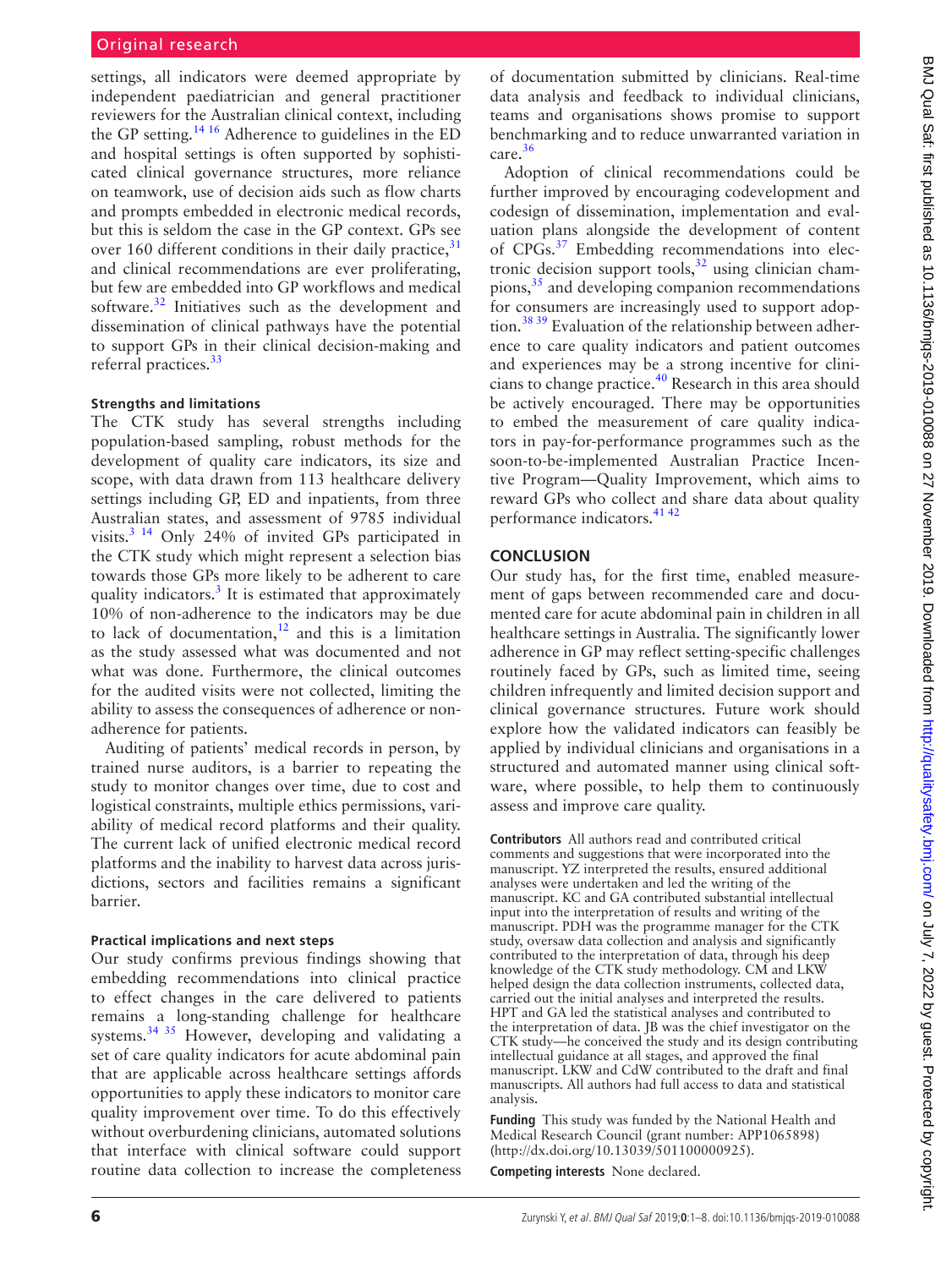settings, all indicators were deemed appropriate by independent paediatrician and general practitioner reviewers for the Australian clinical context, including the GP setting.<sup>14 16</sup> Adherence to guidelines in the ED and hospital settings is often supported by sophisticated clinical governance structures, more reliance on teamwork, use of decision aids such as flow charts and prompts embedded in electronic medical records, but this is seldom the case in the GP context. GPs see over 160 different conditions in their daily practice,  $31$ and clinical recommendations are ever proliferating, but few are embedded into GP workflows and medical software.<sup>32</sup> Initiatives such as the development and dissemination of clinical pathways have the potential to support GPs in their clinical decision-making and referral practices.<sup>[33](#page-7-4)</sup>

### **Strengths and limitations**

The CTK study has several strengths including population-based sampling, robust methods for the development of quality care indicators, its size and scope, with data drawn from 113 healthcare delivery settings including GP, ED and inpatients, from three Australian states, and assessment of 9785 individual visits.[3 14](#page-6-2) Only 24% of invited GPs participated in the CTK study which might represent a selection bias towards those GPs more likely to be adherent to care quality indicators. $3$  It is estimated that approximately 10% of non-adherence to the indicators may be due to lack of documentation, $12$  and this is a limitation as the study assessed what was documented and not what was done. Furthermore, the clinical outcomes for the audited visits were not collected, limiting the ability to assess the consequences of adherence or nonadherence for patients.

Auditing of patients' medical records in person, by trained nurse auditors, is a barrier to repeating the study to monitor changes over time, due to cost and logistical constraints, multiple ethics permissions, variability of medical record platforms and their quality. The current lack of unified electronic medical record platforms and the inability to harvest data across jurisdictions, sectors and facilities remains a significant barrier.

### **Practical implications and next steps**

Our study confirms previous findings showing that embedding recommendations into clinical practice to effect changes in the care delivered to patients remains a long-standing challenge for healthcare systems.[34 35](#page-7-5) However, developing and validating a set of care quality indicators for acute abdominal pain that are applicable across healthcare settings affords opportunities to apply these indicators to monitor care quality improvement over time. To do this effectively without overburdening clinicians, automated solutions that interface with clinical software could support routine data collection to increase the completeness

of documentation submitted by clinicians. Real-time data analysis and feedback to individual clinicians, teams and organisations shows promise to support benchmarking and to reduce unwarranted variation in care[.36](#page-7-6)

Adoption of clinical recommendations could be further improved by encouraging codevelopment and codesign of dissemination, implementation and evaluation plans alongside the development of content of CPGs.[37](#page-7-7) Embedding recommendations into electronic decision support tools, $32$  using clinician champions,<sup>35</sup> and developing companion recommendations for consumers are increasingly used to support adoption.[38 39](#page-7-9) Evaluation of the relationship between adherence to care quality indicators and patient outcomes and experiences may be a strong incentive for clinicians to change practice.<sup>40</sup> Research in this area should be actively encouraged. There may be opportunities to embed the measurement of care quality indicators in pay-for-performance programmes such as the soon-to-be-implemented Australian Practice Incentive Program—Quality Improvement, which aims to reward GPs who collect and share data about quality performance indicators.<sup>[41 42](#page-7-11)</sup>

### **Conclusion**

Our study has, for the first time, enabled measurement of gaps between recommended care and documented care for acute abdominal pain in children in all healthcare settings in Australia. The significantly lower adherence in GP may reflect setting-specific challenges routinely faced by GPs, such as limited time, seeing children infrequently and limited decision support and clinical governance structures. Future work should explore how the validated indicators can feasibly be applied by individual clinicians and organisations in a structured and automated manner using clinical software, where possible, to help them to continuously assess and improve care quality.

**Contributors** All authors read and contributed critical comments and suggestions that were incorporated into the manuscript. YZ interpreted the results, ensured additional analyses were undertaken and led the writing of the manuscript. KC and GA contributed substantial intellectual input into the interpretation of results and writing of the manuscript. PDH was the programme manager for the CTK study, oversaw data collection and analysis and significantly contributed to the interpretation of data, through his deep knowledge of the CTK study methodology. CM and LKW helped design the data collection instruments, collected data, carried out the initial analyses and interpreted the results. HPT and GA led the statistical analyses and contributed to the interpretation of data. JB was the chief investigator on the CTK study—he conceived the study and its design contributing intellectual guidance at all stages, and approved the final manuscript. LKW and CdW contributed to the draft and final manuscripts. All authors had full access to data and statistical analysis.

**Funding** This study was funded by the National Health and Medical Research Council (grant number: APP1065898) [\(http://dx.doi.org/10.13039/501100000925](http://dx.doi.org/10.13039/501100000925)).

**Competing interests** None declared.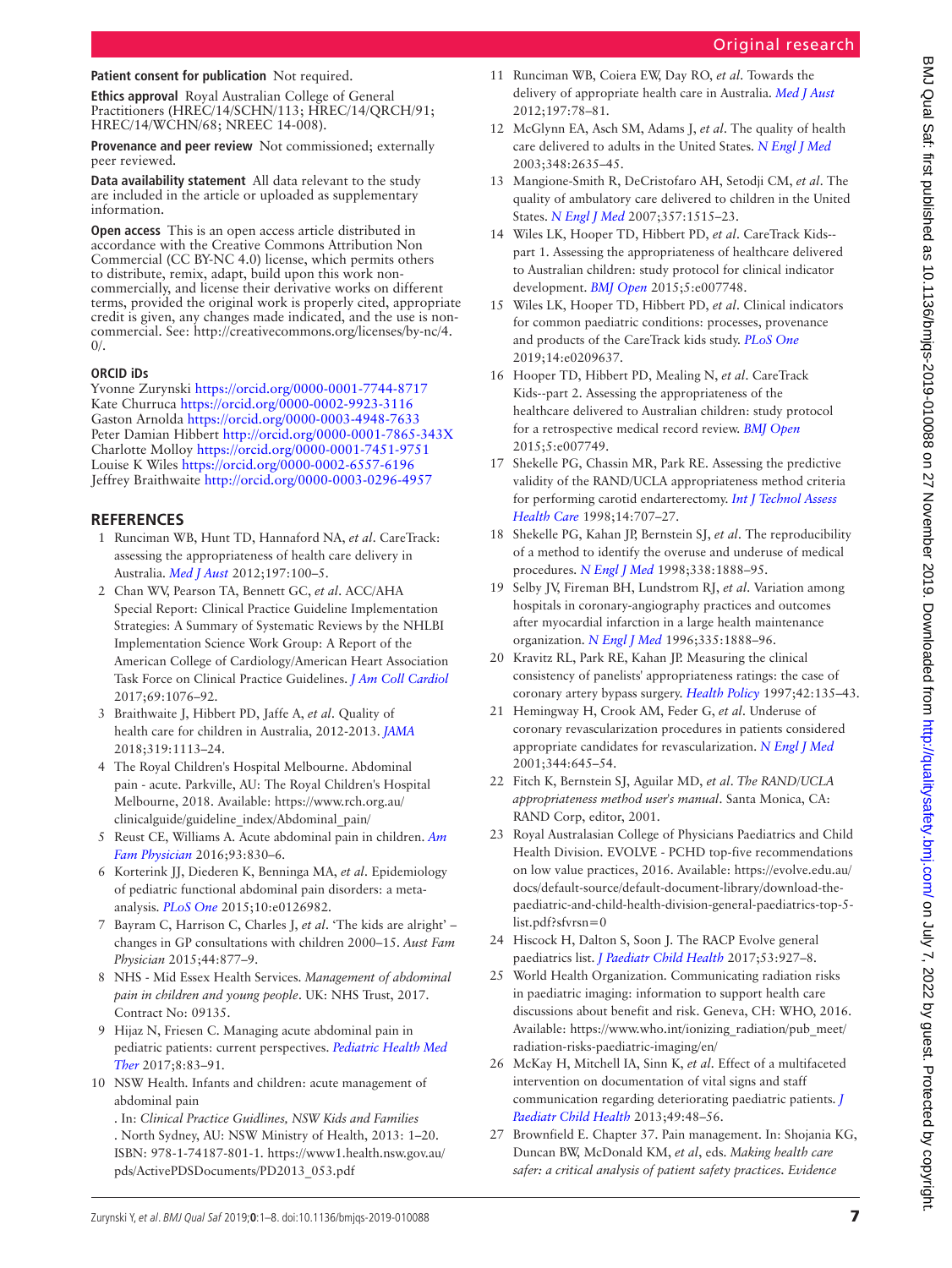### Original research

### **Patient consent for publication** Not required.

**Ethics approval** Royal Australian College of General Practitioners (HREC/14/SCHN/113; HREC/14/QRCH/91; HREC/14/WCHN/68; NREEC 14-008).

**Provenance and peer review** Not commissioned; externally peer reviewed.

**Data availability statement** All data relevant to the study are included in the article or uploaded as supplementary information.

**Open access** This is an open access article distributed in accordance with the Creative Commons Attribution Non Commercial (CC BY-NC 4.0) license, which permits others to distribute, remix, adapt, build upon this work noncommercially, and license their derivative works on different terms, provided the original work is properly cited, appropriate credit is given, any changes made indicated, and the use is noncommercial. See: [http://creativecommons.org/licenses/by-nc/4.](http://creativecommons.org/licenses/by-nc/4.0/)  $0/$ .

### **ORCID iDs**

Yvonne Zurynski<https://orcid.org/0000-0001-7744-8717> Kate Churruca <https://orcid.org/0000-0002-9923-3116> Gaston Arnolda<https://orcid.org/0000-0003-4948-7633> Peter Damian Hibbert<http://orcid.org/0000-0001-7865-343X> Charlotte Molloy<https://orcid.org/0000-0001-7451-9751> Louise K Wiles <https://orcid.org/0000-0002-6557-6196> Jeffrey Braithwaite <http://orcid.org/0000-0003-0296-4957>

### **References**

- <span id="page-6-0"></span>1 Runciman WB, Hunt TD, Hannaford NA, *et al*. CareTrack: assessing the appropriateness of health care delivery in Australia. *[Med J Aust](http://dx.doi.org/10.5694/mja12.10510)* 2012;197:100–5.
- <span id="page-6-1"></span>2 Chan WV, Pearson TA, Bennett GC, *et al*. ACC/AHA Special Report: Clinical Practice Guideline Implementation Strategies: A Summary of Systematic Reviews by the NHLBI Implementation Science Work Group: A Report of the American College of Cardiology/American Heart Association Task Force on Clinical Practice Guidelines. *[J Am Coll Cardiol](http://dx.doi.org/10.1016/j.jacc.2016.11.004)* 2017;69:1076–92.
- <span id="page-6-2"></span>3 Braithwaite J, Hibbert PD, Jaffe A, *et al*. Quality of health care for children in Australia, 2012-2013. *[JAMA](http://dx.doi.org/10.1001/jama.2018.0162)* 2018;319:1113–24.
- <span id="page-6-3"></span>4 The Royal Children's Hospital Melbourne. Abdominal pain - acute. Parkville, AU: The Royal Children's Hospital Melbourne, 2018. Available: [https://www.rch.org.au/](https://www.rch.org.au/clinicalguide/guideline_index/Abdominal_pain/) [clinicalguide/guideline\\_index/Abdominal\\_pain/](https://www.rch.org.au/clinicalguide/guideline_index/Abdominal_pain/)
- 5 Reust CE, Williams A. Acute abdominal pain in children. *[Am](http://www.ncbi.nlm.nih.gov/pubmed/27175718)  [Fam Physician](http://www.ncbi.nlm.nih.gov/pubmed/27175718)* 2016;93:830–6.
- <span id="page-6-4"></span>6 Korterink JJ, Diederen K, Benninga MA, *et al*. Epidemiology of pediatric functional abdominal pain disorders: a metaanalysis. *[PLoS One](http://dx.doi.org/10.1371/journal.pone.0126982)* 2015;10:e0126982.
- 7 Bayram C, Harrison C, Charles J, *et al*. 'The kids are alright' changes in GP consultations with children 2000–15. *Aust Fam Physician* 2015;44:877–9.
- 8 NHS Mid Essex Health Services. *Management of abdominal pain in children and young people*. UK: NHS Trust, 2017. Contract No: 09135.
- 9 Hijaz N, Friesen C. Managing acute abdominal pain in pediatric patients: current perspectives. *[Pediatric Health Med](http://dx.doi.org/10.2147/PHMT.S120156)  [Ther](http://dx.doi.org/10.2147/PHMT.S120156)* 2017;8:83–91.
- <span id="page-6-12"></span>10 NSW Health. Infants and children: acute management of abdominal pain
	- . In: *Clinical Practice Guidlines, NSW Kids and Families*  . North Sydney, AU: NSW Ministry of Health, 2013: 1–20. ISBN: 978-1-74187-801-1. [https://www1.health.nsw.gov.au/](https://www1.health.nsw.gov.au/pds/ActivePDSDocuments/PD2013_053.pdf) [pds/ActivePDSDocuments/PD2013\\_053.pdf](https://www1.health.nsw.gov.au/pds/ActivePDSDocuments/PD2013_053.pdf)
- 11 Runciman WB, Coiera EW, Day RO, *et al*. Towards the delivery of appropriate health care in Australia. *[Med J Aust](http://dx.doi.org/10.5694/mja12.10799)* 2012;197:78–81.
- <span id="page-6-13"></span>12 McGlynn EA, Asch SM, Adams J, *et al*. The quality of health care delivered to adults in the United States. *[N Engl J Med](http://dx.doi.org/10.1056/NEJMsa022615)* 2003;348:2635–45.
- 13 Mangione-Smith R, DeCristofaro AH, Setodji CM, *et al*. The quality of ambulatory care delivered to children in the United States. *[N Engl J Med](http://dx.doi.org/10.1056/NEJMsa064637)* 2007;357:1515–23.
- <span id="page-6-6"></span>14 Wiles LK, Hooper TD, Hibbert PD, *et al*. CareTrack Kids- part 1. Assessing the appropriateness of healthcare delivered to Australian children: study protocol for clinical indicator development. *[BMJ Open](http://dx.doi.org/10.1136/bmjopen-2015-007748)* 2015;5:e007748.
- <span id="page-6-5"></span>15 Wiles LK, Hooper TD, Hibbert PD, *et al*. Clinical indicators for common paediatric conditions: processes, provenance and products of the CareTrack kids study. *[PLoS One](http://dx.doi.org/10.1371/journal.pone.0209637)* 2019;14:e0209637.
- <span id="page-6-8"></span>16 Hooper TD, Hibbert PD, Mealing N, *et al*. CareTrack Kids--part 2. Assessing the appropriateness of the healthcare delivered to Australian children: study protocol for a retrospective medical record review. *[BMJ Open](http://dx.doi.org/10.1136/bmjopen-2015-007749)* 2015;5:e007749.
- <span id="page-6-7"></span>17 Shekelle PG, Chassin MR, Park RE. Assessing the predictive validity of the RAND/UCLA appropriateness method criteria for performing carotid endarterectomy. *[Int J Technol Assess](http://dx.doi.org/10.1017/S0266462300012022)  [Health Care](http://dx.doi.org/10.1017/S0266462300012022)* 1998;14:707–27.
- 18 Shekelle PG, Kahan JP, Bernstein SJ, *et al*. The reproducibility of a method to identify the overuse and underuse of medical procedures. *[N Engl J Med](http://dx.doi.org/10.1056/NEJM199806253382607)* 1998;338:1888–95.
- 19 Selby JV, Fireman BH, Lundstrom RJ, *et al*. Variation among hospitals in coronary-angiography practices and outcomes after myocardial infarction in a large health maintenance organization. *[N Engl J Med](http://dx.doi.org/10.1056/NEJM199612193352506)* 1996;335:1888–96.
- 20 Kravitz RL, Park RE, Kahan JP. Measuring the clinical consistency of panelists' appropriateness ratings: the case of coronary artery bypass surgery. *[Health Policy](http://dx.doi.org/10.1016/S0168-8510(97)00064-X)* 1997;42:135–43.
- 21 Hemingway H, Crook AM, Feder G, *et al*. Underuse of coronary revascularization procedures in patients considered appropriate candidates for revascularization. *[N Engl J Med](http://dx.doi.org/10.1056/NEJM200103013440906)* 2001;344:645–54.
- 22 Fitch K, Bernstein SJ, Aguilar MD, *et al*. *The RAND/UCLA appropriateness method user's manual*. Santa Monica, CA: RAND Corp, editor, 2001.
- <span id="page-6-9"></span>23 Royal Australasian College of Physicians Paediatrics and Child Health Division. EVOLVE - PCHD top-five recommendations on low value practices, 2016. Available: [https://evolve.edu.au/](https://evolve.edu.au/docs/default-source/default-document-library/download-the-paediatric-and-child-health-division-general-paediatrics-top-5-list.pdf?sfvrsn=0) [docs/default-source/default-document-library/download-the](https://evolve.edu.au/docs/default-source/default-document-library/download-the-paediatric-and-child-health-division-general-paediatrics-top-5-list.pdf?sfvrsn=0)[paediatric-and-child-health-division-general-paediatrics-top-5](https://evolve.edu.au/docs/default-source/default-document-library/download-the-paediatric-and-child-health-division-general-paediatrics-top-5-list.pdf?sfvrsn=0) [list.pdf?sfvrsn=0](https://evolve.edu.au/docs/default-source/default-document-library/download-the-paediatric-and-child-health-division-general-paediatrics-top-5-list.pdf?sfvrsn=0)
- 24 Hiscock H, Dalton S, Soon J. The RACP Evolve general paediatrics list. *[J Paediatr Child Health](http://dx.doi.org/10.1111/jpc.13612)* 2017;53:927–8.
- <span id="page-6-10"></span>25 World Health Organization. Communicating radiation risks in paediatric imaging: information to support health care discussions about benefit and risk. Geneva, CH: WHO, 2016. Available: [https://www.who.int/ionizing\\_radiation/pub\\_meet/](https://www.who.int/ionizing_radiation/pub_meet/radiation-risks-paediatric-imaging/en/) [radiation-risks-paediatric-imaging/en/](https://www.who.int/ionizing_radiation/pub_meet/radiation-risks-paediatric-imaging/en/)
- <span id="page-6-11"></span>26 McKay H, Mitchell IA, Sinn K, *et al*. Effect of a multifaceted intervention on documentation of vital signs and staff communication regarding deteriorating paediatric patients. *[J](http://dx.doi.org/10.1111/jpc.12019)  [Paediatr Child Health](http://dx.doi.org/10.1111/jpc.12019)* 2013;49:48–56.
- 27 Brownfield E. Chapter 37. Pain management. In: Shojania KG, Duncan BW, McDonald KM, *et al*, eds. *Making health care safer: a critical analysis of patient safety practices. Evidence*